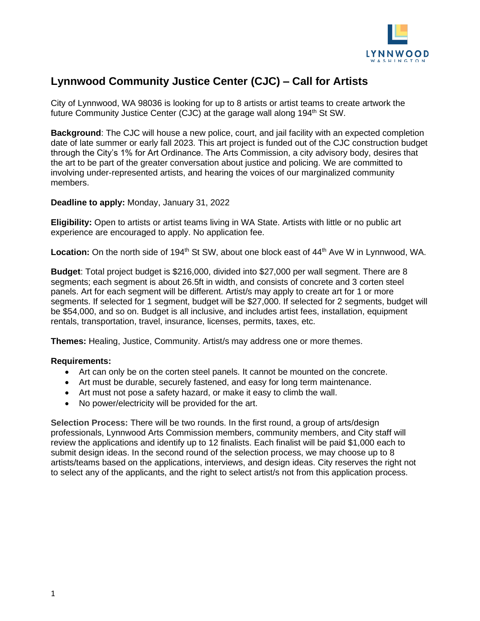

# **Lynnwood Community Justice Center (CJC) – Call for Artists**

City of Lynnwood, WA 98036 is looking for up to 8 artists or artist teams to create artwork the future Community Justice Center (CJC) at the garage wall along  $194<sup>th</sup>$  St SW.

**Background**: The CJC will house a new police, court, and jail facility with an expected completion date of late summer or early fall 2023. This art project is funded out of the CJC construction budget through the City's 1% for Art Ordinance. The Arts Commission, a city advisory body, desires that the art to be part of the greater conversation about justice and policing. We are committed to involving under-represented artists, and hearing the voices of our marginalized community members.

**Deadline to apply:** Monday, January 31, 2022

**Eligibility:** Open to artists or artist teams living in WA State. Artists with little or no public art experience are encouraged to apply. No application fee.

Location: On the north side of 194<sup>th</sup> St SW, about one block east of 44<sup>th</sup> Ave W in Lynnwood, WA.

**Budget**: Total project budget is \$216,000, divided into \$27,000 per wall segment. There are 8 segments: each segment is about 26.5ft in width, and consists of concrete and 3 corten steel panels. Art for each segment will be different. Artist/s may apply to create art for 1 or more segments. If selected for 1 segment, budget will be \$27,000. If selected for 2 segments, budget will be \$54,000, and so on. Budget is all inclusive, and includes artist fees, installation, equipment rentals, transportation, travel, insurance, licenses, permits, taxes, etc.

**Themes:** Healing, Justice, Community. Artist/s may address one or more themes.

## **Requirements:**

- Art can only be on the corten steel panels. It cannot be mounted on the concrete.
- Art must be durable, securely fastened, and easy for long term maintenance.
- Art must not pose a safety hazard, or make it easy to climb the wall.
- No power/electricity will be provided for the art.

**Selection Process:** There will be two rounds. In the first round, a group of arts/design professionals, Lynnwood Arts Commission members, community members, and City staff will review the applications and identify up to 12 finalists. Each finalist will be paid \$1,000 each to submit design ideas. In the second round of the selection process, we may choose up to 8 artists/teams based on the applications, interviews, and design ideas. City reserves the right not to select any of the applicants, and the right to select artist/s not from this application process.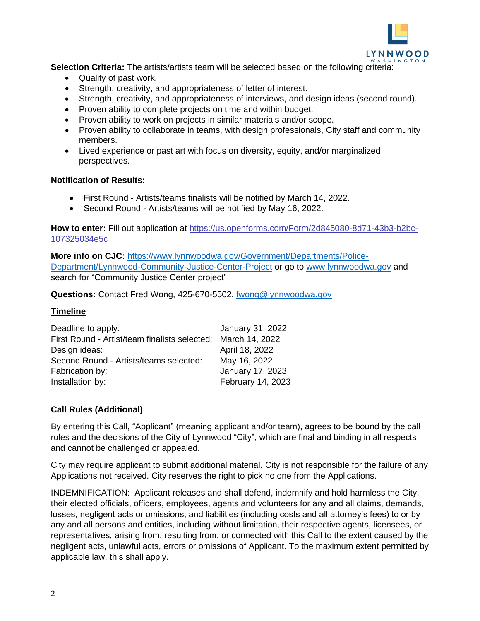

**Selection Criteria:** The artists/artists team will be selected based on the following criteria:

- Quality of past work.
- Strength, creativity, and appropriateness of letter of interest.
- Strength, creativity, and appropriateness of interviews, and design ideas (second round).
- Proven ability to complete projects on time and within budget.
- Proven ability to work on projects in similar materials and/or scope.
- Proven ability to collaborate in teams, with design professionals, City staff and community members.
- Lived experience or past art with focus on diversity, equity, and/or marginalized perspectives.

#### **Notification of Results:**

- First Round Artists/teams finalists will be notified by March 14, 2022.
- Second Round Artists/teams will be notified by May 16, 2022.

**How to enter:** Fill out application at [https://us.openforms.com/Form/2d845080-8d71-43b3-b2bc-](https://us.openforms.com/Form/2d845080-8d71-43b3-b2bc-107325034e5c)[107325034e5c](https://us.openforms.com/Form/2d845080-8d71-43b3-b2bc-107325034e5c)

**More info on CJC:** [https://www.lynnwoodwa.gov/Government/Departments/Police-](https://www.lynnwoodwa.gov/Government/Departments/Police-Department/Lynnwood-Community-Justice-Center-Project)[Department/Lynnwood-Community-Justice-Center-Project](https://www.lynnwoodwa.gov/Government/Departments/Police-Department/Lynnwood-Community-Justice-Center-Project) or go to [www.lynnwoodwa.gov](http://www.lynnwoodwa.gov/) and search for "Community Justice Center project"

**Questions:** Contact Fred Wong, 425-670-5502, [fwong@lynnwoodwa.gov](mailto:fwong@lynnwoodwa.gov)

## **Timeline**

| January 31, 2022                                             |
|--------------------------------------------------------------|
| First Round - Artist/team finalists selected: March 14, 2022 |
| April 18, 2022                                               |
| May 16, 2022                                                 |
| January 17, 2023                                             |
| February 14, 2023                                            |
|                                                              |

# **Call Rules (Additional)**

By entering this Call, "Applicant" (meaning applicant and/or team), agrees to be bound by the call rules and the decisions of the City of Lynnwood "City", which are final and binding in all respects and cannot be challenged or appealed.

City may require applicant to submit additional material. City is not responsible for the failure of any Applications not received. City reserves the right to pick no one from the Applications.

INDEMNIFICATION: Applicant releases and shall defend, indemnify and hold harmless the City, their elected officials, officers, employees, agents and volunteers for any and all claims, demands, losses, negligent acts or omissions, and liabilities (including costs and all attorney's fees) to or by any and all persons and entities, including without limitation, their respective agents, licensees, or representatives, arising from, resulting from, or connected with this Call to the extent caused by the negligent acts, unlawful acts, errors or omissions of Applicant. To the maximum extent permitted by applicable law, this shall apply.